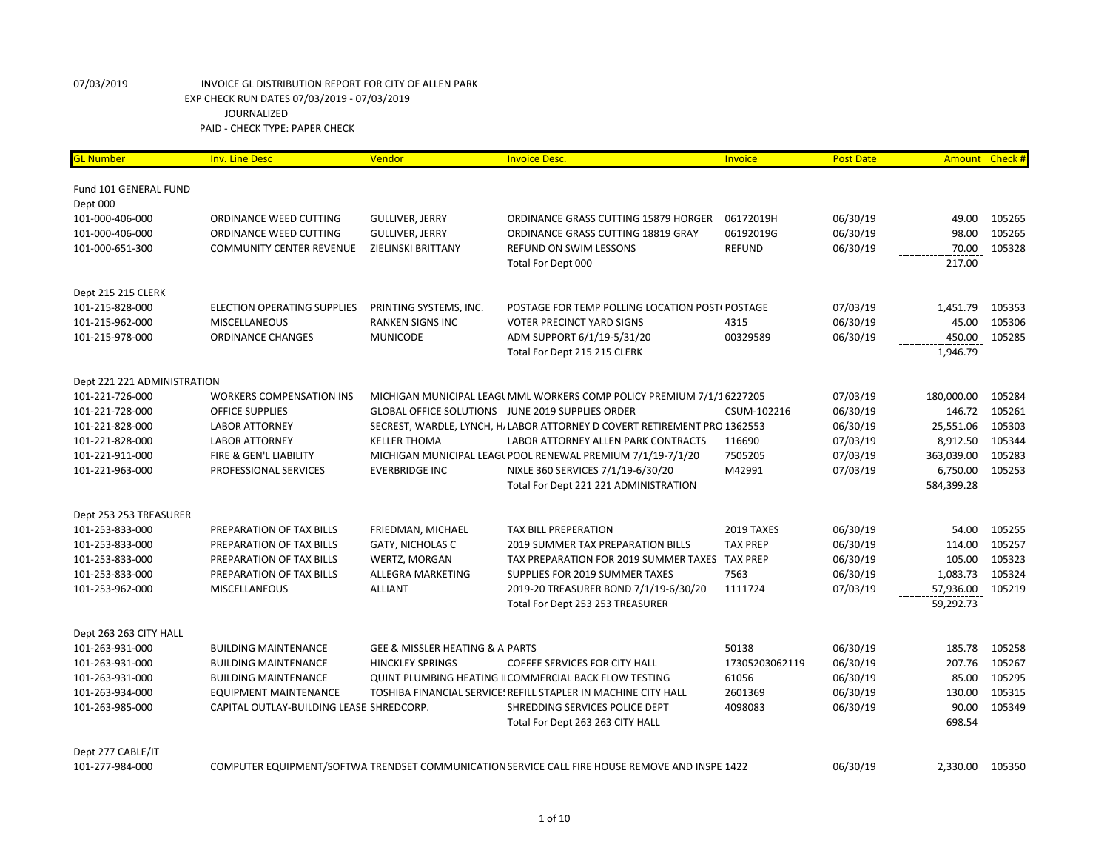| <b>GL Number</b>            | <b>Inv. Line Desc</b>                    | Vendor                                         | <b>Invoice Desc.</b>                                                                           | Invoice         | <b>Post Date</b> |            | Amount Check # |
|-----------------------------|------------------------------------------|------------------------------------------------|------------------------------------------------------------------------------------------------|-----------------|------------------|------------|----------------|
|                             |                                          |                                                |                                                                                                |                 |                  |            |                |
| Fund 101 GENERAL FUND       |                                          |                                                |                                                                                                |                 |                  |            |                |
| Dept 000                    |                                          |                                                |                                                                                                |                 |                  |            |                |
| 101-000-406-000             | ORDINANCE WEED CUTTING                   | <b>GULLIVER, JERRY</b>                         | ORDINANCE GRASS CUTTING 15879 HORGER                                                           | 06172019H       | 06/30/19         | 49.00      | 105265         |
| 101-000-406-000             | ORDINANCE WEED CUTTING                   | <b>GULLIVER, JERRY</b>                         | ORDINANCE GRASS CUTTING 18819 GRAY                                                             | 06192019G       | 06/30/19         | 98.00      | 105265         |
| 101-000-651-300             | <b>COMMUNITY CENTER REVENUE</b>          | ZIELINSKI BRITTANY                             | <b>REFUND ON SWIM LESSONS</b>                                                                  | <b>REFUND</b>   | 06/30/19         | 70.00      | 105328         |
|                             |                                          |                                                | Total For Dept 000                                                                             |                 |                  | 217.00     |                |
| Dept 215 215 CLERK          |                                          |                                                |                                                                                                |                 |                  |            |                |
| 101-215-828-000             | <b>ELECTION OPERATING SUPPLIES</b>       | PRINTING SYSTEMS, INC.                         | POSTAGE FOR TEMP POLLING LOCATION POST(POSTAGE                                                 |                 | 07/03/19         | 1,451.79   | 105353         |
| 101-215-962-000             | <b>MISCELLANEOUS</b>                     | <b>RANKEN SIGNS INC</b>                        | <b>VOTER PRECINCT YARD SIGNS</b>                                                               | 4315            | 06/30/19         | 45.00      | 105306         |
| 101-215-978-000             | <b>ORDINANCE CHANGES</b>                 | <b>MUNICODE</b>                                | ADM SUPPORT 6/1/19-5/31/20                                                                     | 00329589        | 06/30/19         | 450.00     | 105285         |
|                             |                                          |                                                | Total For Dept 215 215 CLERK                                                                   |                 |                  | 1,946.79   |                |
|                             |                                          |                                                |                                                                                                |                 |                  |            |                |
| Dept 221 221 ADMINISTRATION |                                          |                                                |                                                                                                |                 |                  |            |                |
| 101-221-726-000             | <b>WORKERS COMPENSATION INS</b>          |                                                | MICHIGAN MUNICIPAL LEAGL MML WORKERS COMP POLICY PREMIUM 7/1/16227205                          |                 | 07/03/19         | 180,000.00 | 105284         |
| 101-221-728-000             | <b>OFFICE SUPPLIES</b>                   |                                                | GLOBAL OFFICE SOLUTIONS JUNE 2019 SUPPLIES ORDER                                               | CSUM-102216     | 06/30/19         | 146.72     | 105261         |
| 101-221-828-000             | <b>LABOR ATTORNEY</b>                    |                                                | SECREST, WARDLE, LYNCH, H. LABOR ATTORNEY D COVERT RETIREMENT PRO 1362553                      |                 | 06/30/19         | 25,551.06  | 105303         |
| 101-221-828-000             | <b>LABOR ATTORNEY</b>                    | <b>KELLER THOMA</b>                            | LABOR ATTORNEY ALLEN PARK CONTRACTS                                                            | 116690          | 07/03/19         | 8,912.50   | 105344         |
| 101-221-911-000             | FIRE & GEN'L LIABILITY                   |                                                | MICHIGAN MUNICIPAL LEAGL POOL RENEWAL PREMIUM 7/1/19-7/1/20                                    | 7505205         | 07/03/19         | 363,039.00 | 105283         |
| 101-221-963-000             | PROFESSIONAL SERVICES                    | <b>EVERBRIDGE INC</b>                          | NIXLE 360 SERVICES 7/1/19-6/30/20                                                              | M42991          | 07/03/19         | 6,750.00   | 105253         |
|                             |                                          |                                                | Total For Dept 221 221 ADMINISTRATION                                                          |                 |                  | 584,399.28 |                |
| Dept 253 253 TREASURER      |                                          |                                                |                                                                                                |                 |                  |            |                |
| 101-253-833-000             | PREPARATION OF TAX BILLS                 | FRIEDMAN, MICHAEL                              | <b>TAX BILL PREPERATION</b>                                                                    | 2019 TAXES      | 06/30/19         | 54.00      | 105255         |
| 101-253-833-000             | PREPARATION OF TAX BILLS                 | GATY, NICHOLAS C                               | 2019 SUMMER TAX PREPARATION BILLS                                                              | <b>TAX PREP</b> | 06/30/19         | 114.00     | 105257         |
| 101-253-833-000             | PREPARATION OF TAX BILLS                 |                                                | TAX PREPARATION FOR 2019 SUMMER TAXES TAX PREP                                                 |                 |                  | 105.00     | 105323         |
|                             |                                          | WERTZ, MORGAN                                  |                                                                                                | 7563            | 06/30/19         |            | 105324         |
| 101-253-833-000             | PREPARATION OF TAX BILLS                 | ALLEGRA MARKETING                              | SUPPLIES FOR 2019 SUMMER TAXES                                                                 |                 | 06/30/19         | 1,083.73   |                |
| 101-253-962-000             | <b>MISCELLANEOUS</b>                     | <b>ALLIANT</b>                                 | 2019-20 TREASURER BOND 7/1/19-6/30/20                                                          | 1111724         | 07/03/19         | 57,936.00  | 105219         |
|                             |                                          |                                                | Total For Dept 253 253 TREASURER                                                               |                 |                  | 59,292.73  |                |
| Dept 263 263 CITY HALL      |                                          |                                                |                                                                                                |                 |                  |            |                |
| 101-263-931-000             | <b>BUILDING MAINTENANCE</b>              | <b>GEE &amp; MISSLER HEATING &amp; A PARTS</b> |                                                                                                | 50138           | 06/30/19         | 185.78     | 105258         |
| 101-263-931-000             | <b>BUILDING MAINTENANCE</b>              | <b>HINCKLEY SPRINGS</b>                        | <b>COFFEE SERVICES FOR CITY HALL</b>                                                           | 17305203062119  | 06/30/19         | 207.76     | 105267         |
| 101-263-931-000             | <b>BUILDING MAINTENANCE</b>              |                                                | <b>QUINT PLUMBING HEATING I COMMERCIAL BACK FLOW TESTING</b>                                   | 61056           | 06/30/19         | 85.00      | 105295         |
| 101-263-934-000             | <b>EQUIPMENT MAINTENANCE</b>             |                                                | TOSHIBA FINANCIAL SERVICE! REFILL STAPLER IN MACHINE CITY HALL                                 | 2601369         | 06/30/19         | 130.00     | 105315         |
| 101-263-985-000             | CAPITAL OUTLAY-BUILDING LEASE SHREDCORP. |                                                | SHREDDING SERVICES POLICE DEPT                                                                 | 4098083         | 06/30/19         | 90.00      | 105349         |
|                             |                                          |                                                | Total For Dept 263 263 CITY HALL                                                               |                 |                  | 698.54     |                |
|                             |                                          |                                                |                                                                                                |                 |                  |            |                |
| Dept 277 CABLE/IT           |                                          |                                                |                                                                                                |                 |                  |            |                |
| 101-277-984-000             |                                          |                                                | COMPUTER EQUIPMENT/SOFTWA TRENDSET COMMUNICATION SERVICE CALL FIRE HOUSE REMOVE AND INSPE 1422 |                 | 06/30/19         | 2,330.00   | 105350         |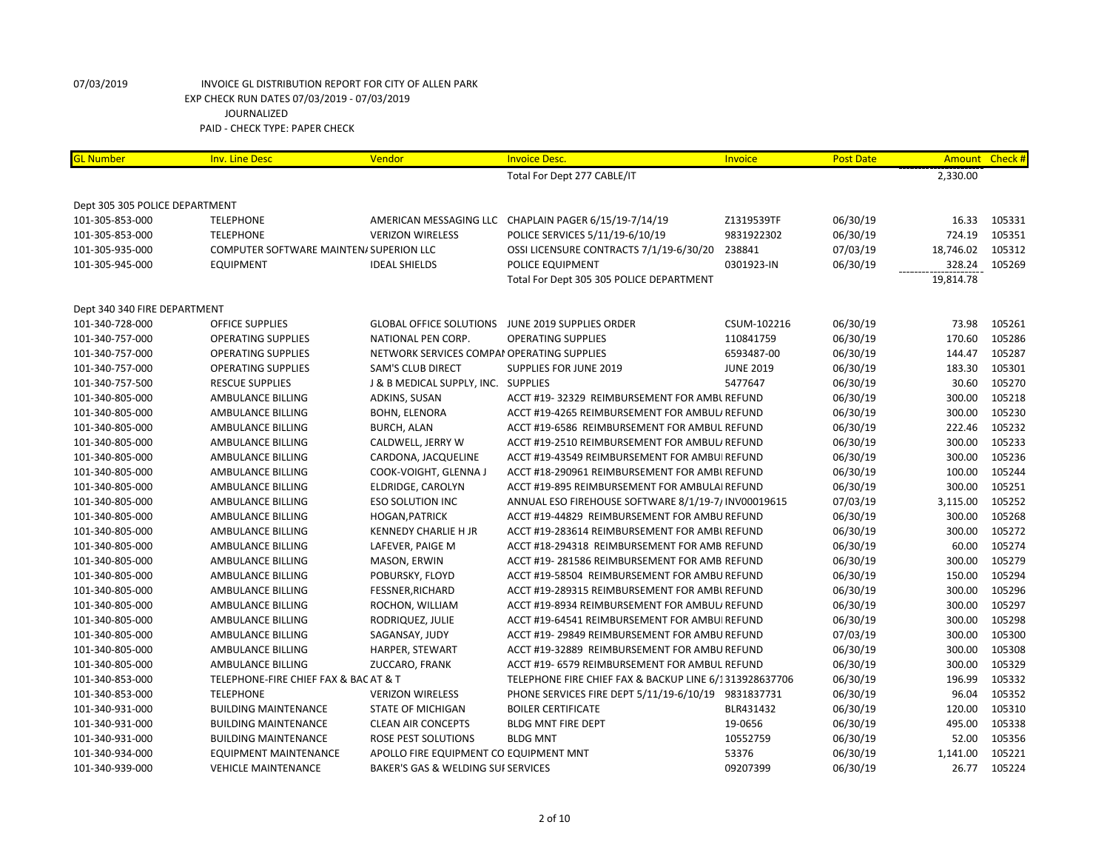| <b>GL Number</b>               | <b>Inv. Line Desc</b>                   | Vendor                                     | <b>Invoice Desc.</b>                                   | Invoice          | <b>Post Date</b> | Amount Check # |        |
|--------------------------------|-----------------------------------------|--------------------------------------------|--------------------------------------------------------|------------------|------------------|----------------|--------|
|                                |                                         |                                            | Total For Dept 277 CABLE/IT                            |                  |                  | 2,330.00       |        |
|                                |                                         |                                            |                                                        |                  |                  |                |        |
| Dept 305 305 POLICE DEPARTMENT |                                         |                                            |                                                        |                  |                  |                |        |
| 101-305-853-000                | <b>TELEPHONE</b>                        |                                            | AMERICAN MESSAGING LLC CHAPLAIN PAGER 6/15/19-7/14/19  | Z1319539TF       | 06/30/19         | 16.33          | 105331 |
| 101-305-853-000                | <b>TELEPHONE</b>                        | <b>VERIZON WIRELESS</b>                    | POLICE SERVICES 5/11/19-6/10/19                        | 9831922302       | 06/30/19         | 724.19         | 105351 |
| 101-305-935-000                | COMPUTER SOFTWARE MAINTEN/ SUPERION LLC |                                            | OSSI LICENSURE CONTRACTS 7/1/19-6/30/20                | 238841           | 07/03/19         | 18,746.02      | 105312 |
| 101-305-945-000                | <b>EQUIPMENT</b>                        | <b>IDEAL SHIELDS</b>                       | POLICE EQUIPMENT                                       | 0301923-IN       | 06/30/19         | 328.24         | 105269 |
|                                |                                         |                                            | Total For Dept 305 305 POLICE DEPARTMENT               |                  |                  | 19,814.78      |        |
| Dept 340 340 FIRE DEPARTMENT   |                                         |                                            |                                                        |                  |                  |                |        |
| 101-340-728-000                | <b>OFFICE SUPPLIES</b>                  | <b>GLOBAL OFFICE SOLUTIONS</b>             | JUNE 2019 SUPPLIES ORDER                               | CSUM-102216      | 06/30/19         | 73.98          | 105261 |
| 101-340-757-000                | <b>OPERATING SUPPLIES</b>               | NATIONAL PEN CORP.                         | <b>OPERATING SUPPLIES</b>                              | 110841759        | 06/30/19         | 170.60         | 105286 |
| 101-340-757-000                | <b>OPERATING SUPPLIES</b>               | NETWORK SERVICES COMPAI OPERATING SUPPLIES |                                                        | 6593487-00       | 06/30/19         | 144.47         | 105287 |
| 101-340-757-000                | <b>OPERATING SUPPLIES</b>               | <b>SAM'S CLUB DIRECT</b>                   | SUPPLIES FOR JUNE 2019                                 | <b>JUNE 2019</b> | 06/30/19         | 183.30         | 105301 |
| 101-340-757-500                | <b>RESCUE SUPPLIES</b>                  | J & B MEDICAL SUPPLY, INC. SUPPLIES        |                                                        | 5477647          | 06/30/19         | 30.60          | 105270 |
| 101-340-805-000                | AMBULANCE BILLING                       | ADKINS, SUSAN                              | ACCT #19-32329 REIMBURSEMENT FOR AMBL REFUND           |                  | 06/30/19         | 300.00         | 105218 |
| 101-340-805-000                | AMBULANCE BILLING                       | BOHN, ELENORA                              | ACCT #19-4265 REIMBURSEMENT FOR AMBULI REFUND          |                  | 06/30/19         | 300.00         | 105230 |
| 101-340-805-000                | AMBULANCE BILLING                       | <b>BURCH, ALAN</b>                         | ACCT #19-6586 REIMBURSEMENT FOR AMBUL REFUND           |                  | 06/30/19         | 222.46         | 105232 |
| 101-340-805-000                | AMBULANCE BILLING                       | CALDWELL, JERRY W                          | ACCT #19-2510 REIMBURSEMENT FOR AMBULI REFUND          |                  | 06/30/19         | 300.00         | 105233 |
| 101-340-805-000                | AMBULANCE BILLING                       | CARDONA, JACQUELINE                        | ACCT #19-43549 REIMBURSEMENT FOR AMBUI REFUND          |                  | 06/30/19         | 300.00         | 105236 |
| 101-340-805-000                | AMBULANCE BILLING                       | COOK-VOIGHT, GLENNA J                      | ACCT #18-290961 REIMBURSEMENT FOR AMBL REFUND          |                  | 06/30/19         | 100.00         | 105244 |
| 101-340-805-000                | AMBULANCE BILLING                       | ELDRIDGE, CAROLYN                          | ACCT #19-895 REIMBURSEMENT FOR AMBULAI REFUND          |                  | 06/30/19         | 300.00         | 105251 |
| 101-340-805-000                | AMBULANCE BILLING                       | <b>ESO SOLUTION INC</b>                    | ANNUAL ESO FIREHOUSE SOFTWARE 8/1/19-7/ INV00019615    |                  | 07/03/19         | 3,115.00       | 105252 |
| 101-340-805-000                | AMBULANCE BILLING                       | <b>HOGAN, PATRICK</b>                      | ACCT #19-44829 REIMBURSEMENT FOR AMBU REFUND           |                  | 06/30/19         | 300.00         | 105268 |
| 101-340-805-000                | AMBULANCE BILLING                       | <b>KENNEDY CHARLIE H JR</b>                | ACCT #19-283614 REIMBURSEMENT FOR AMBL REFUND          |                  | 06/30/19         | 300.00         | 105272 |
| 101-340-805-000                | AMBULANCE BILLING                       | LAFEVER, PAIGE M                           | ACCT #18-294318 REIMBURSEMENT FOR AMB REFUND           |                  | 06/30/19         | 60.00          | 105274 |
| 101-340-805-000                | AMBULANCE BILLING                       | MASON, ERWIN                               | ACCT #19-281586 REIMBURSEMENT FOR AMB REFUND           |                  | 06/30/19         | 300.00         | 105279 |
| 101-340-805-000                | AMBULANCE BILLING                       | POBURSKY, FLOYD                            | ACCT #19-58504 REIMBURSEMENT FOR AMBU REFUND           |                  | 06/30/19         | 150.00         | 105294 |
| 101-340-805-000                | AMBULANCE BILLING                       | <b>FESSNER, RICHARD</b>                    | ACCT #19-289315 REIMBURSEMENT FOR AMBL REFUND          |                  | 06/30/19         | 300.00         | 105296 |
| 101-340-805-000                | AMBULANCE BILLING                       | ROCHON, WILLIAM                            | ACCT #19-8934 REIMBURSEMENT FOR AMBULI REFUND          |                  | 06/30/19         | 300.00         | 105297 |
| 101-340-805-000                | AMBULANCE BILLING                       | RODRIQUEZ, JULIE                           | ACCT #19-64541 REIMBURSEMENT FOR AMBUI REFUND          |                  | 06/30/19         | 300.00         | 105298 |
| 101-340-805-000                | AMBULANCE BILLING                       | SAGANSAY, JUDY                             | ACCT #19-29849 REIMBURSEMENT FOR AMBU REFUND           |                  | 07/03/19         | 300.00         | 105300 |
| 101-340-805-000                | AMBULANCE BILLING                       | HARPER, STEWART                            | ACCT #19-32889 REIMBURSEMENT FOR AMBU REFUND           |                  | 06/30/19         | 300.00         | 105308 |
| 101-340-805-000                | AMBULANCE BILLING                       | ZUCCARO, FRANK                             | ACCT #19- 6579 REIMBURSEMENT FOR AMBUL REFUND          |                  | 06/30/19         | 300.00         | 105329 |
| 101-340-853-000                | TELEPHONE-FIRE CHIEF FAX & BAC AT & T   |                                            | TELEPHONE FIRE CHIEF FAX & BACKUP LINE 6/1313928637706 |                  | 06/30/19         | 196.99         | 105332 |
| 101-340-853-000                | <b>TELEPHONE</b>                        | <b>VERIZON WIRELESS</b>                    | PHONE SERVICES FIRE DEPT 5/11/19-6/10/19 9831837731    |                  | 06/30/19         | 96.04          | 105352 |
| 101-340-931-000                | <b>BUILDING MAINTENANCE</b>             | <b>STATE OF MICHIGAN</b>                   | <b>BOILER CERTIFICATE</b>                              | BLR431432        | 06/30/19         | 120.00         | 105310 |
| 101-340-931-000                | <b>BUILDING MAINTENANCE</b>             | <b>CLEAN AIR CONCEPTS</b>                  | <b>BLDG MNT FIRE DEPT</b>                              | 19-0656          | 06/30/19         | 495.00         | 105338 |
| 101-340-931-000                | <b>BUILDING MAINTENANCE</b>             | ROSE PEST SOLUTIONS                        | <b>BLDG MNT</b>                                        | 10552759         | 06/30/19         | 52.00          | 105356 |
| 101-340-934-000                | EQUIPMENT MAINTENANCE                   | APOLLO FIRE EQUIPMENT CO EQUIPMENT MNT     |                                                        | 53376            | 06/30/19         | 1,141.00       | 105221 |
| 101-340-939-000                | <b>VEHICLE MAINTENANCE</b>              | BAKER'S GAS & WELDING SUI SERVICES         |                                                        | 09207399         | 06/30/19         | 26.77          | 105224 |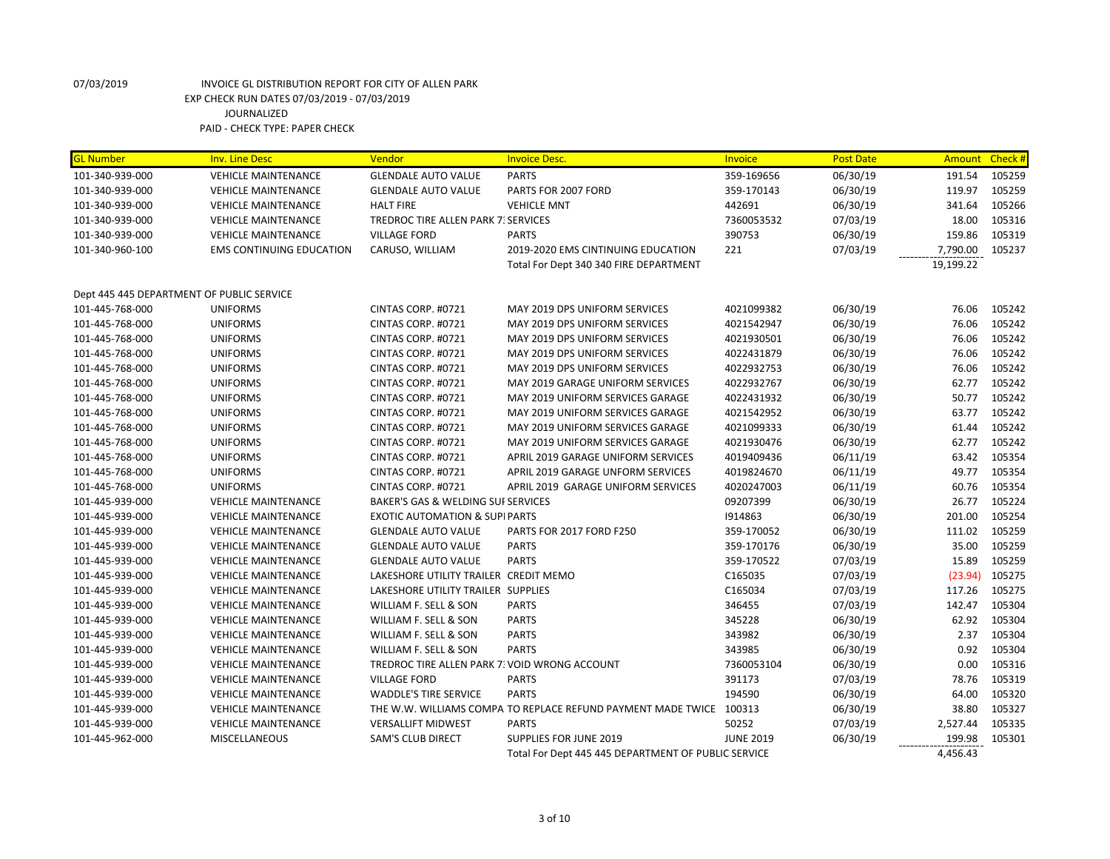| <b>GL Number</b>                          | <b>Inv. Line Desc</b>           | Vendor                                        | <b>Invoice Desc.</b>                                                | Invoice          | <b>Post Date</b> | <b>Amount</b> | Check # |
|-------------------------------------------|---------------------------------|-----------------------------------------------|---------------------------------------------------------------------|------------------|------------------|---------------|---------|
| 101-340-939-000                           | <b>VEHICLE MAINTENANCE</b>      | <b>GLENDALE AUTO VALUE</b>                    | <b>PARTS</b>                                                        | 359-169656       | 06/30/19         | 191.54        | 105259  |
| 101-340-939-000                           | <b>VEHICLE MAINTENANCE</b>      | <b>GLENDALE AUTO VALUE</b>                    | PARTS FOR 2007 FORD                                                 | 359-170143       | 06/30/19         | 119.97        | 105259  |
| 101-340-939-000                           | <b>VEHICLE MAINTENANCE</b>      | <b>HALT FIRE</b>                              | <b>VEHICLE MNT</b>                                                  | 442691           | 06/30/19         | 341.64        | 105266  |
| 101-340-939-000                           | <b>VEHICLE MAINTENANCE</b>      | TREDROC TIRE ALLEN PARK 7: SERVICES           |                                                                     | 7360053532       | 07/03/19         | 18.00         | 105316  |
| 101-340-939-000                           | <b>VEHICLE MAINTENANCE</b>      | <b>VILLAGE FORD</b>                           | <b>PARTS</b>                                                        | 390753           | 06/30/19         | 159.86        | 105319  |
| 101-340-960-100                           | <b>EMS CONTINUING EDUCATION</b> | CARUSO, WILLIAM                               | 2019-2020 EMS CINTINUING EDUCATION                                  | 221              | 07/03/19         | 7,790.00      | 105237  |
|                                           |                                 |                                               | Total For Dept 340 340 FIRE DEPARTMENT                              |                  |                  | 19,199.22     |         |
|                                           |                                 |                                               |                                                                     |                  |                  |               |         |
| Dept 445 445 DEPARTMENT OF PUBLIC SERVICE |                                 |                                               |                                                                     |                  |                  |               |         |
| 101-445-768-000                           | <b>UNIFORMS</b>                 | CINTAS CORP. #0721                            | MAY 2019 DPS UNIFORM SERVICES                                       | 4021099382       | 06/30/19         | 76.06         | 105242  |
| 101-445-768-000                           | <b>UNIFORMS</b>                 | CINTAS CORP. #0721                            | MAY 2019 DPS UNIFORM SERVICES                                       | 4021542947       | 06/30/19         | 76.06         | 105242  |
| 101-445-768-000                           | <b>UNIFORMS</b>                 | CINTAS CORP. #0721                            | MAY 2019 DPS UNIFORM SERVICES                                       | 4021930501       | 06/30/19         | 76.06         | 105242  |
| 101-445-768-000                           | <b>UNIFORMS</b>                 | CINTAS CORP. #0721                            | MAY 2019 DPS UNIFORM SERVICES                                       | 4022431879       | 06/30/19         | 76.06         | 105242  |
| 101-445-768-000                           | <b>UNIFORMS</b>                 | CINTAS CORP. #0721                            | MAY 2019 DPS UNIFORM SERVICES                                       | 4022932753       | 06/30/19         | 76.06         | 105242  |
| 101-445-768-000                           | <b>UNIFORMS</b>                 | CINTAS CORP. #0721                            | MAY 2019 GARAGE UNIFORM SERVICES                                    | 4022932767       | 06/30/19         | 62.77         | 105242  |
| 101-445-768-000                           | <b>UNIFORMS</b>                 | CINTAS CORP. #0721                            | MAY 2019 UNIFORM SERVICES GARAGE                                    | 4022431932       | 06/30/19         | 50.77         | 105242  |
| 101-445-768-000                           | <b>UNIFORMS</b>                 | CINTAS CORP. #0721                            | MAY 2019 UNIFORM SERVICES GARAGE                                    | 4021542952       | 06/30/19         | 63.77         | 105242  |
| 101-445-768-000                           | <b>UNIFORMS</b>                 | CINTAS CORP. #0721                            | MAY 2019 UNIFORM SERVICES GARAGE                                    | 4021099333       | 06/30/19         | 61.44         | 105242  |
| 101-445-768-000                           | <b>UNIFORMS</b>                 | CINTAS CORP. #0721                            | MAY 2019 UNIFORM SERVICES GARAGE                                    | 4021930476       | 06/30/19         | 62.77         | 105242  |
| 101-445-768-000                           | <b>UNIFORMS</b>                 | CINTAS CORP. #0721                            | APRIL 2019 GARAGE UNIFORM SERVICES                                  | 4019409436       | 06/11/19         | 63.42         | 105354  |
| 101-445-768-000                           | <b>UNIFORMS</b>                 | CINTAS CORP. #0721                            | APRIL 2019 GARAGE UNFORM SERVICES                                   | 4019824670       | 06/11/19         | 49.77         | 105354  |
| 101-445-768-000                           | <b>UNIFORMS</b>                 | CINTAS CORP. #0721                            | APRIL 2019 GARAGE UNIFORM SERVICES                                  | 4020247003       | 06/11/19         | 60.76         | 105354  |
| 101-445-939-000                           | <b>VEHICLE MAINTENANCE</b>      | BAKER'S GAS & WELDING SUI SERVICES            |                                                                     | 09207399         | 06/30/19         | 26.77         | 105224  |
| 101-445-939-000                           | <b>VEHICLE MAINTENANCE</b>      | <b>EXOTIC AUTOMATION &amp; SUPI PARTS</b>     |                                                                     | 1914863          | 06/30/19         | 201.00        | 105254  |
| 101-445-939-000                           | <b>VEHICLE MAINTENANCE</b>      | <b>GLENDALE AUTO VALUE</b>                    | PARTS FOR 2017 FORD F250                                            | 359-170052       | 06/30/19         | 111.02        | 105259  |
| 101-445-939-000                           | <b>VEHICLE MAINTENANCE</b>      | <b>GLENDALE AUTO VALUE</b>                    | <b>PARTS</b>                                                        | 359-170176       | 06/30/19         | 35.00         | 105259  |
| 101-445-939-000                           | <b>VEHICLE MAINTENANCE</b>      | <b>GLENDALE AUTO VALUE</b>                    | <b>PARTS</b>                                                        | 359-170522       | 07/03/19         | 15.89         | 105259  |
| 101-445-939-000                           | <b>VEHICLE MAINTENANCE</b>      | LAKESHORE UTILITY TRAILER CREDIT MEMO         |                                                                     | C165035          | 07/03/19         | (23.94)       | 105275  |
| 101-445-939-000                           | <b>VEHICLE MAINTENANCE</b>      | LAKESHORE UTILITY TRAILER SUPPLIES            |                                                                     | C165034          | 07/03/19         | 117.26        | 105275  |
| 101-445-939-000                           | <b>VEHICLE MAINTENANCE</b>      | WILLIAM F. SELL & SON                         | <b>PARTS</b>                                                        | 346455           | 07/03/19         | 142.47        | 105304  |
| 101-445-939-000                           | <b>VEHICLE MAINTENANCE</b>      | WILLIAM F. SELL & SON                         | <b>PARTS</b>                                                        | 345228           | 06/30/19         | 62.92         | 105304  |
| 101-445-939-000                           | <b>VEHICLE MAINTENANCE</b>      | WILLIAM F. SELL & SON                         | <b>PARTS</b>                                                        | 343982           | 06/30/19         | 2.37          | 105304  |
| 101-445-939-000                           | <b>VEHICLE MAINTENANCE</b>      | WILLIAM F. SELL & SON                         | <b>PARTS</b>                                                        | 343985           | 06/30/19         | 0.92          | 105304  |
| 101-445-939-000                           | <b>VEHICLE MAINTENANCE</b>      | TREDROC TIRE ALLEN PARK 7. VOID WRONG ACCOUNT |                                                                     | 7360053104       | 06/30/19         | 0.00          | 105316  |
| 101-445-939-000                           | <b>VEHICLE MAINTENANCE</b>      | <b>VILLAGE FORD</b>                           | <b>PARTS</b>                                                        | 391173           | 07/03/19         | 78.76         | 105319  |
| 101-445-939-000                           | <b>VEHICLE MAINTENANCE</b>      | <b>WADDLE'S TIRE SERVICE</b>                  | <b>PARTS</b>                                                        | 194590           | 06/30/19         | 64.00         | 105320  |
| 101-445-939-000                           | <b>VEHICLE MAINTENANCE</b>      |                                               | THE W.W. WILLIAMS COMPA TO REPLACE REFUND PAYMENT MADE TWICE 100313 |                  | 06/30/19         | 38.80         | 105327  |
| 101-445-939-000                           | <b>VEHICLE MAINTENANCE</b>      | <b>VERSALLIFT MIDWEST</b>                     | <b>PARTS</b>                                                        | 50252            | 07/03/19         | 2,527.44      | 105335  |
| 101-445-962-000                           | <b>MISCELLANEOUS</b>            | <b>SAM'S CLUB DIRECT</b>                      | SUPPLIES FOR JUNE 2019                                              | <b>JUNE 2019</b> | 06/30/19         | 199.98        | 105301  |
|                                           |                                 |                                               | Total For Dept 445 445 DEPARTMENT OF PUBLIC SERVICE                 |                  |                  | 4,456.43      |         |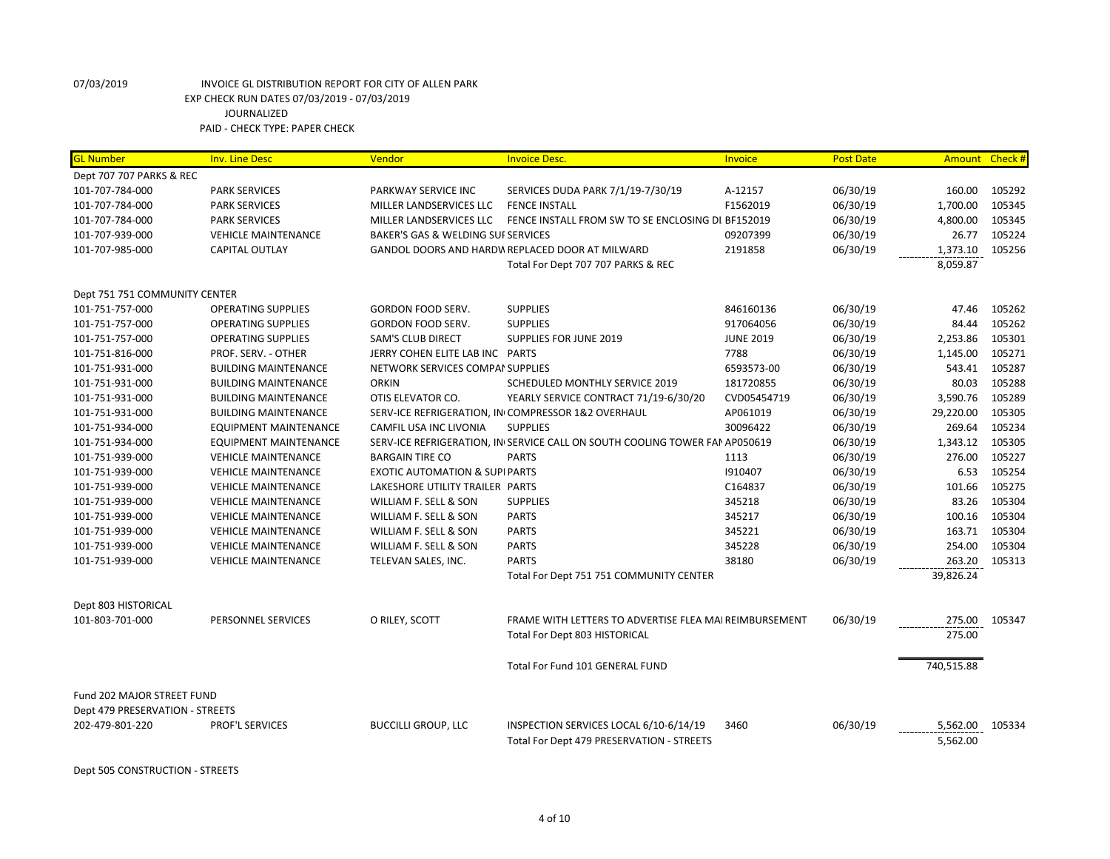| <b>GL Number</b>                | <b>Inv. Line Desc</b>        | Vendor                                   | <b>Invoice Desc.</b>                                                                | <b>Invoice</b>   | <b>Post Date</b> | Amount Check #       |        |
|---------------------------------|------------------------------|------------------------------------------|-------------------------------------------------------------------------------------|------------------|------------------|----------------------|--------|
| Dept 707 707 PARKS & REC        |                              |                                          |                                                                                     |                  |                  |                      |        |
| 101-707-784-000                 | <b>PARK SERVICES</b>         | PARKWAY SERVICE INC                      | SERVICES DUDA PARK 7/1/19-7/30/19                                                   | A-12157          | 06/30/19         | 160.00               | 105292 |
| 101-707-784-000                 | <b>PARK SERVICES</b>         | MILLER LANDSERVICES LLC                  | <b>FENCE INSTALL</b>                                                                | F1562019         | 06/30/19         | 1,700.00             | 105345 |
| 101-707-784-000                 | <b>PARK SERVICES</b>         | MILLER LANDSERVICES LLC                  | FENCE INSTALL FROM SW TO SE ENCLOSING DI BF152019                                   |                  | 06/30/19         | 4,800.00             | 105345 |
| 101-707-939-000                 | <b>VEHICLE MAINTENANCE</b>   | BAKER'S GAS & WELDING SUI SERVICES       |                                                                                     | 09207399         | 06/30/19         | 26.77                | 105224 |
| 101-707-985-000                 | <b>CAPITAL OUTLAY</b>        |                                          | GANDOL DOORS AND HARDW REPLACED DOOR AT MILWARD                                     | 2191858          | 06/30/19         | 1,373.10             | 105256 |
|                                 |                              |                                          | Total For Dept 707 707 PARKS & REC                                                  |                  |                  | 8,059.87             |        |
| Dept 751 751 COMMUNITY CENTER   |                              |                                          |                                                                                     |                  |                  |                      |        |
| 101-751-757-000                 | <b>OPERATING SUPPLIES</b>    | GORDON FOOD SERV.                        | <b>SUPPLIES</b>                                                                     | 846160136        | 06/30/19         | 47.46                | 105262 |
| 101-751-757-000                 | <b>OPERATING SUPPLIES</b>    | <b>GORDON FOOD SERV.</b>                 | <b>SUPPLIES</b>                                                                     | 917064056        | 06/30/19         | 84.44                | 105262 |
| 101-751-757-000                 | <b>OPERATING SUPPLIES</b>    | <b>SAM'S CLUB DIRECT</b>                 | SUPPLIES FOR JUNE 2019                                                              | <b>JUNE 2019</b> | 06/30/19         | 2,253.86             | 105301 |
| 101-751-816-000                 | PROF. SERV. - OTHER          | JERRY COHEN ELITE LAB INC PARTS          |                                                                                     | 7788             | 06/30/19         | 1,145.00             | 105271 |
| 101-751-931-000                 | <b>BUILDING MAINTENANCE</b>  | NETWORK SERVICES COMPAI SUPPLIES         |                                                                                     | 6593573-00       | 06/30/19         | 543.41               | 105287 |
| 101-751-931-000                 | <b>BUILDING MAINTENANCE</b>  | <b>ORKIN</b>                             | SCHEDULED MONTHLY SERVICE 2019                                                      | 181720855        | 06/30/19         | 80.03                | 105288 |
| 101-751-931-000                 | <b>BUILDING MAINTENANCE</b>  | OTIS ELEVATOR CO.                        | YEARLY SERVICE CONTRACT 71/19-6/30/20                                               | CVD05454719      | 06/30/19         | 3,590.76             | 105289 |
| 101-751-931-000                 | <b>BUILDING MAINTENANCE</b>  |                                          | SERV-ICE REFRIGERATION, IN COMPRESSOR 1&2 OVERHAUL                                  | AP061019         | 06/30/19         | 29,220.00            | 105305 |
| 101-751-934-000                 | EQUIPMENT MAINTENANCE        | CAMFIL USA INC LIVONIA                   | <b>SUPPLIES</b>                                                                     | 30096422         | 06/30/19         | 269.64               | 105234 |
| 101-751-934-000                 | <b>EQUIPMENT MAINTENANCE</b> |                                          | SERV-ICE REFRIGERATION, IN SERVICE CALL ON SOUTH COOLING TOWER FAN AP050619         |                  | 06/30/19         | 1,343.12             | 105305 |
| 101-751-939-000                 | <b>VEHICLE MAINTENANCE</b>   | <b>BARGAIN TIRE CO</b>                   | <b>PARTS</b>                                                                        | 1113             | 06/30/19         | 276.00               | 105227 |
| 101-751-939-000                 | <b>VEHICLE MAINTENANCE</b>   | <b>EXOTIC AUTOMATION &amp; SUPIPARTS</b> |                                                                                     | 1910407          | 06/30/19         | 6.53                 | 105254 |
| 101-751-939-000                 | <b>VEHICLE MAINTENANCE</b>   | LAKESHORE UTILITY TRAILER PARTS          |                                                                                     | C164837          | 06/30/19         | 101.66               | 105275 |
| 101-751-939-000                 | <b>VEHICLE MAINTENANCE</b>   | WILLIAM F. SELL & SON                    | <b>SUPPLIES</b>                                                                     | 345218           | 06/30/19         | 83.26                | 105304 |
| 101-751-939-000                 | <b>VEHICLE MAINTENANCE</b>   | WILLIAM F. SELL & SON                    | <b>PARTS</b>                                                                        | 345217           | 06/30/19         | 100.16               | 105304 |
| 101-751-939-000                 | <b>VEHICLE MAINTENANCE</b>   | WILLIAM F. SELL & SON                    | <b>PARTS</b>                                                                        | 345221           | 06/30/19         | 163.71               | 105304 |
| 101-751-939-000                 | <b>VEHICLE MAINTENANCE</b>   | WILLIAM F. SELL & SON                    | <b>PARTS</b>                                                                        | 345228           | 06/30/19         | 254.00               | 105304 |
| 101-751-939-000                 | <b>VEHICLE MAINTENANCE</b>   | TELEVAN SALES, INC.                      | <b>PARTS</b>                                                                        | 38180            | 06/30/19         | 263.20               | 105313 |
|                                 |                              |                                          | Total For Dept 751 751 COMMUNITY CENTER                                             |                  |                  | 39,826.24            |        |
| Dept 803 HISTORICAL             |                              |                                          |                                                                                     |                  |                  |                      |        |
| 101-803-701-000                 | PERSONNEL SERVICES           | O RILEY, SCOTT                           | FRAME WITH LETTERS TO ADVERTISE FLEA MAI REIMBURSEMENT                              |                  | 06/30/19         | 275.00               | 105347 |
|                                 |                              |                                          | <b>Total For Dept 803 HISTORICAL</b>                                                |                  |                  | 275.00               |        |
|                                 |                              |                                          | Total For Fund 101 GENERAL FUND                                                     |                  |                  | 740,515.88           |        |
| Fund 202 MAJOR STREET FUND      |                              |                                          |                                                                                     |                  |                  |                      |        |
| Dept 479 PRESERVATION - STREETS |                              |                                          |                                                                                     |                  |                  |                      |        |
| 202-479-801-220                 | PROF'L SERVICES              | <b>BUCCILLI GROUP, LLC</b>               | INSPECTION SERVICES LOCAL 6/10-6/14/19<br>Total For Dept 479 PRESERVATION - STREETS | 3460             | 06/30/19         | 5,562.00<br>5,562.00 | 105334 |

Dept 505 CONSTRUCTION - STREETS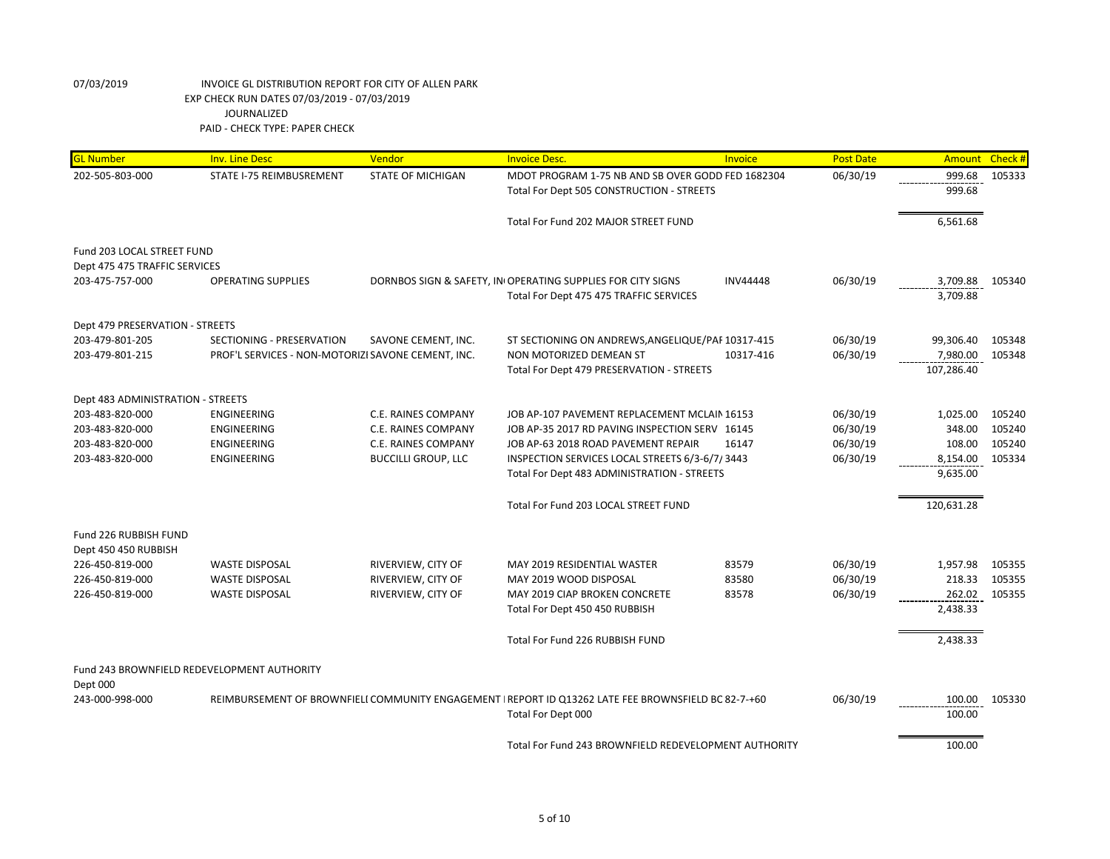| <b>GL Number</b>                  | <b>Inv. Line Desc</b>                              | Vendor                     | <b>Invoice Desc.</b>                                                                                 | Invoice         | <b>Post Date</b> | Amount     | Check# |
|-----------------------------------|----------------------------------------------------|----------------------------|------------------------------------------------------------------------------------------------------|-----------------|------------------|------------|--------|
| 202-505-803-000                   | STATE I-75 REIMBUSREMENT                           | <b>STATE OF MICHIGAN</b>   | MDOT PROGRAM 1-75 NB AND SB OVER GODD FED 1682304                                                    |                 | 06/30/19         | 999.68     | 105333 |
|                                   |                                                    |                            | Total For Dept 505 CONSTRUCTION - STREETS                                                            |                 |                  | 999.68     |        |
|                                   |                                                    |                            | Total For Fund 202 MAJOR STREET FUND                                                                 |                 |                  | 6,561.68   |        |
| Fund 203 LOCAL STREET FUND        |                                                    |                            |                                                                                                      |                 |                  |            |        |
| Dept 475 475 TRAFFIC SERVICES     |                                                    |                            |                                                                                                      |                 |                  |            |        |
| 203-475-757-000                   | <b>OPERATING SUPPLIES</b>                          |                            | DORNBOS SIGN & SAFETY, IN OPERATING SUPPLIES FOR CITY SIGNS                                          | <b>INV44448</b> | 06/30/19         | 3,709.88   | 105340 |
|                                   |                                                    |                            | Total For Dept 475 475 TRAFFIC SERVICES                                                              |                 |                  | 3,709.88   |        |
| Dept 479 PRESERVATION - STREETS   |                                                    |                            |                                                                                                      |                 |                  |            |        |
| 203-479-801-205                   | SECTIONING - PRESERVATION                          | SAVONE CEMENT, INC.        | ST SECTIONING ON ANDREWS, ANGELIQUE/PAF 10317-415                                                    |                 | 06/30/19         | 99,306.40  | 105348 |
| 203-479-801-215                   | PROF'L SERVICES - NON-MOTORIZI SAVONE CEMENT, INC. |                            | NON MOTORIZED DEMEAN ST                                                                              | 10317-416       | 06/30/19         | 7,980.00   | 105348 |
|                                   |                                                    |                            | Total For Dept 479 PRESERVATION - STREETS                                                            |                 |                  | 107,286.40 |        |
| Dept 483 ADMINISTRATION - STREETS |                                                    |                            |                                                                                                      |                 |                  |            |        |
| 203-483-820-000                   | <b>ENGINEERING</b>                                 | C.E. RAINES COMPANY        | JOB AP-107 PAVEMENT REPLACEMENT MCLAIN 16153                                                         |                 | 06/30/19         | 1,025.00   | 105240 |
| 203-483-820-000                   | ENGINEERING                                        | C.E. RAINES COMPANY        | JOB AP-35 2017 RD PAVING INSPECTION SERV 16145                                                       |                 | 06/30/19         | 348.00     | 105240 |
| 203-483-820-000                   | ENGINEERING                                        | C.E. RAINES COMPANY        | JOB AP-63 2018 ROAD PAVEMENT REPAIR                                                                  | 16147           | 06/30/19         | 108.00     | 105240 |
| 203-483-820-000                   | ENGINEERING                                        | <b>BUCCILLI GROUP, LLC</b> | INSPECTION SERVICES LOCAL STREETS 6/3-6/7/3443                                                       |                 | 06/30/19         | 8,154.00   | 105334 |
|                                   |                                                    |                            | Total For Dept 483 ADMINISTRATION - STREETS                                                          |                 |                  | 9,635.00   |        |
|                                   |                                                    |                            | Total For Fund 203 LOCAL STREET FUND                                                                 |                 |                  | 120,631.28 |        |
| Fund 226 RUBBISH FUND             |                                                    |                            |                                                                                                      |                 |                  |            |        |
| Dept 450 450 RUBBISH              |                                                    |                            |                                                                                                      |                 |                  |            |        |
| 226-450-819-000                   | <b>WASTE DISPOSAL</b>                              | RIVERVIEW, CITY OF         | MAY 2019 RESIDENTIAL WASTER                                                                          | 83579           | 06/30/19         | 1,957.98   | 105355 |
| 226-450-819-000                   | <b>WASTE DISPOSAL</b>                              | RIVERVIEW, CITY OF         | MAY 2019 WOOD DISPOSAL                                                                               | 83580           | 06/30/19         | 218.33     | 105355 |
| 226-450-819-000                   | <b>WASTE DISPOSAL</b>                              | RIVERVIEW, CITY OF         | MAY 2019 CIAP BROKEN CONCRETE                                                                        | 83578           | 06/30/19         | 262.02     | 105355 |
|                                   |                                                    |                            | Total For Dept 450 450 RUBBISH                                                                       |                 |                  | 2,438.33   |        |
|                                   |                                                    |                            | Total For Fund 226 RUBBISH FUND                                                                      |                 |                  | 2,438.33   |        |
|                                   | Fund 243 BROWNFIELD REDEVELOPMENT AUTHORITY        |                            |                                                                                                      |                 |                  |            |        |
| Dept 000                          |                                                    |                            |                                                                                                      |                 |                  |            |        |
| 243-000-998-000                   |                                                    |                            | REIMBURSEMENT OF BROWNFIELI COMMUNITY ENGAGEMENT   REPORT ID Q13262 LATE FEE BROWNSFIELD BC 82-7-+60 |                 | 06/30/19         | 100.00     | 105330 |
|                                   |                                                    |                            | Total For Dept 000                                                                                   |                 |                  | 100.00     |        |
|                                   |                                                    |                            | Total For Fund 243 BROWNFIELD REDEVELOPMENT AUTHORITY                                                |                 |                  | 100.00     |        |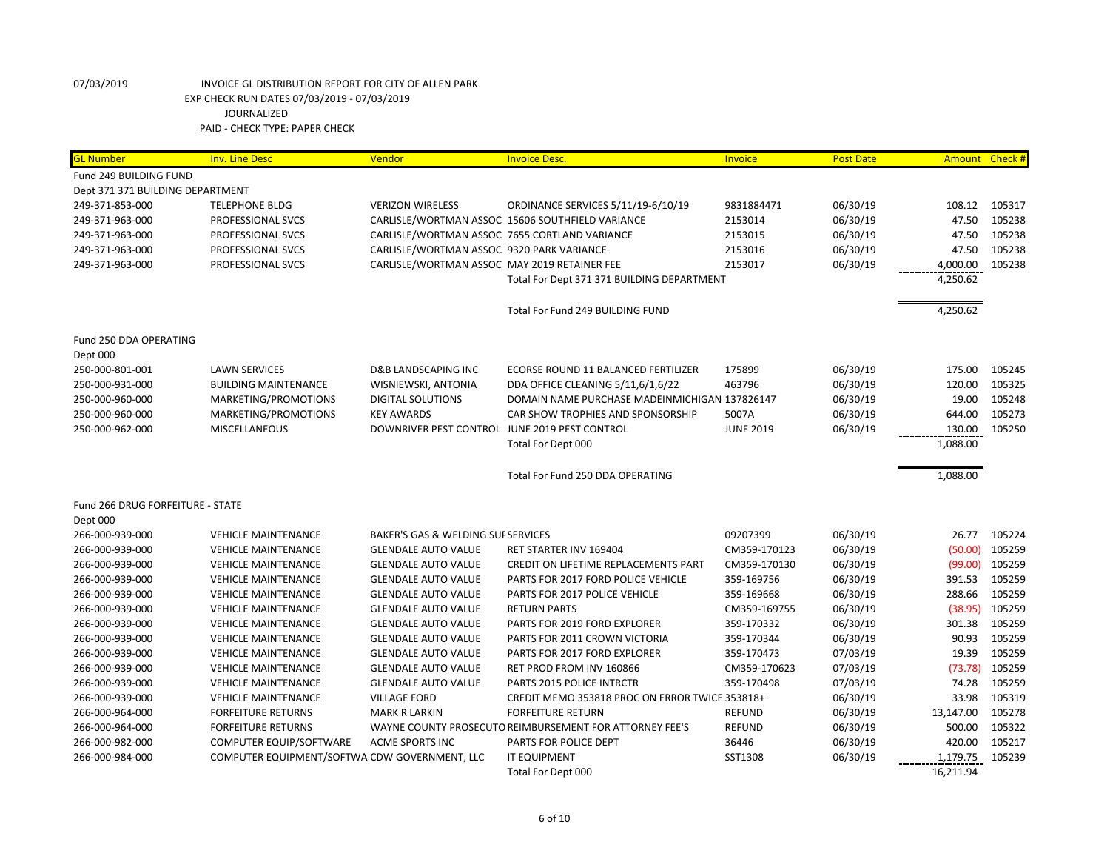| <b>GL Number</b>                 | <b>Inv. Line Desc</b>                         | Vendor                                        | <b>Invoice Desc.</b>                                    | Invoice          | <b>Post Date</b> |           | Amount Check # |
|----------------------------------|-----------------------------------------------|-----------------------------------------------|---------------------------------------------------------|------------------|------------------|-----------|----------------|
| Fund 249 BUILDING FUND           |                                               |                                               |                                                         |                  |                  |           |                |
| Dept 371 371 BUILDING DEPARTMENT |                                               |                                               |                                                         |                  |                  |           |                |
| 249-371-853-000                  | <b>TELEPHONE BLDG</b>                         | <b>VERIZON WIRELESS</b>                       | ORDINANCE SERVICES 5/11/19-6/10/19                      | 9831884471       | 06/30/19         | 108.12    | 105317         |
| 249-371-963-000                  | PROFESSIONAL SVCS                             |                                               | CARLISLE/WORTMAN ASSOC 15606 SOUTHFIELD VARIANCE        | 2153014          | 06/30/19         | 47.50     | 105238         |
| 249-371-963-000                  | PROFESSIONAL SVCS                             | CARLISLE/WORTMAN ASSOC 7655 CORTLAND VARIANCE |                                                         | 2153015          | 06/30/19         | 47.50     | 105238         |
| 249-371-963-000                  | PROFESSIONAL SVCS                             | CARLISLE/WORTMAN ASSOC 9320 PARK VARIANCE     |                                                         | 2153016          | 06/30/19         | 47.50     | 105238         |
| 249-371-963-000                  | PROFESSIONAL SVCS                             | CARLISLE/WORTMAN ASSOC MAY 2019 RETAINER FEE  |                                                         | 2153017          | 06/30/19         | 4,000.00  | 105238         |
|                                  |                                               |                                               | Total For Dept 371 371 BUILDING DEPARTMENT              |                  |                  | 4,250.62  |                |
|                                  |                                               |                                               |                                                         |                  |                  |           |                |
|                                  |                                               |                                               | Total For Fund 249 BUILDING FUND                        |                  |                  | 4,250.62  |                |
|                                  |                                               |                                               |                                                         |                  |                  |           |                |
| Fund 250 DDA OPERATING           |                                               |                                               |                                                         |                  |                  |           |                |
| Dept 000                         |                                               |                                               |                                                         |                  |                  |           |                |
| 250-000-801-001                  | <b>LAWN SERVICES</b>                          | <b>D&amp;B LANDSCAPING INC</b>                | ECORSE ROUND 11 BALANCED FERTILIZER                     | 175899           | 06/30/19         | 175.00    | 105245         |
| 250-000-931-000                  | <b>BUILDING MAINTENANCE</b>                   | WISNIEWSKI, ANTONIA                           | DDA OFFICE CLEANING 5/11,6/1,6/22                       | 463796           | 06/30/19         | 120.00    | 105325         |
| 250-000-960-000                  | MARKETING/PROMOTIONS                          | <b>DIGITAL SOLUTIONS</b>                      | DOMAIN NAME PURCHASE MADEINMICHIGAN 137826147           |                  | 06/30/19         | 19.00     | 105248         |
| 250-000-960-000                  | MARKETING/PROMOTIONS                          | <b>KEY AWARDS</b>                             | CAR SHOW TROPHIES AND SPONSORSHIP                       | 5007A            | 06/30/19         | 644.00    | 105273         |
| 250-000-962-000                  | <b>MISCELLANEOUS</b>                          | DOWNRIVER PEST CONTROL JUNE 2019 PEST CONTROL |                                                         | <b>JUNE 2019</b> | 06/30/19         | 130.00    | 105250         |
|                                  |                                               |                                               | Total For Dept 000                                      |                  |                  | 1,088.00  |                |
|                                  |                                               |                                               | Total For Fund 250 DDA OPERATING                        |                  |                  | 1,088.00  |                |
| Fund 266 DRUG FORFEITURE - STATE |                                               |                                               |                                                         |                  |                  |           |                |
| Dept 000                         |                                               |                                               |                                                         |                  |                  |           |                |
| 266-000-939-000                  | <b>VEHICLE MAINTENANCE</b>                    | BAKER'S GAS & WELDING SUI SERVICES            |                                                         | 09207399         | 06/30/19         | 26.77     | 105224         |
| 266-000-939-000                  | <b>VEHICLE MAINTENANCE</b>                    | <b>GLENDALE AUTO VALUE</b>                    | RET STARTER INV 169404                                  | CM359-170123     | 06/30/19         | (50.00)   | 105259         |
| 266-000-939-000                  | <b>VEHICLE MAINTENANCE</b>                    | <b>GLENDALE AUTO VALUE</b>                    | CREDIT ON LIFETIME REPLACEMENTS PART                    | CM359-170130     | 06/30/19         | (99.00)   | 105259         |
| 266-000-939-000                  | <b>VEHICLE MAINTENANCE</b>                    | <b>GLENDALE AUTO VALUE</b>                    | PARTS FOR 2017 FORD POLICE VEHICLE                      | 359-169756       | 06/30/19         | 391.53    | 105259         |
| 266-000-939-000                  | <b>VEHICLE MAINTENANCE</b>                    | <b>GLENDALE AUTO VALUE</b>                    | PARTS FOR 2017 POLICE VEHICLE                           | 359-169668       | 06/30/19         | 288.66    | 105259         |
| 266-000-939-000                  | <b>VEHICLE MAINTENANCE</b>                    | <b>GLENDALE AUTO VALUE</b>                    | <b>RETURN PARTS</b>                                     | CM359-169755     | 06/30/19         | (38.95)   | 105259         |
| 266-000-939-000                  | <b>VEHICLE MAINTENANCE</b>                    | <b>GLENDALE AUTO VALUE</b>                    | PARTS FOR 2019 FORD EXPLORER                            | 359-170332       | 06/30/19         | 301.38    | 105259         |
| 266-000-939-000                  | <b>VEHICLE MAINTENANCE</b>                    | <b>GLENDALE AUTO VALUE</b>                    | PARTS FOR 2011 CROWN VICTORIA                           | 359-170344       | 06/30/19         | 90.93     | 105259         |
| 266-000-939-000                  | <b>VEHICLE MAINTENANCE</b>                    | <b>GLENDALE AUTO VALUE</b>                    | PARTS FOR 2017 FORD EXPLORER                            | 359-170473       | 07/03/19         | 19.39     | 105259         |
| 266-000-939-000                  | <b>VEHICLE MAINTENANCE</b>                    | <b>GLENDALE AUTO VALUE</b>                    | RET PROD FROM INV 160866                                | CM359-170623     | 07/03/19         | (73.78)   | 105259         |
| 266-000-939-000                  | <b>VEHICLE MAINTENANCE</b>                    | <b>GLENDALE AUTO VALUE</b>                    | PARTS 2015 POLICE INTRCTR                               | 359-170498       | 07/03/19         | 74.28     | 105259         |
| 266-000-939-000                  | <b>VEHICLE MAINTENANCE</b>                    | <b>VILLAGE FORD</b>                           | CREDIT MEMO 353818 PROC ON ERROR TWICE 353818+          |                  | 06/30/19         | 33.98     | 105319         |
| 266-000-964-000                  | <b>FORFEITURE RETURNS</b>                     | <b>MARK R LARKIN</b>                          | <b>FORFEITURE RETURN</b>                                | <b>REFUND</b>    | 06/30/19         | 13,147.00 | 105278         |
| 266-000-964-000                  | <b>FORFEITURE RETURNS</b>                     |                                               | WAYNE COUNTY PROSECUTO REIMBURSEMENT FOR ATTORNEY FEE'S | <b>REFUND</b>    | 06/30/19         | 500.00    | 105322         |
| 266-000-982-000                  | COMPUTER EQUIP/SOFTWARE                       | <b>ACME SPORTS INC</b>                        | PARTS FOR POLICE DEPT                                   | 36446            | 06/30/19         | 420.00    | 105217         |
| 266-000-984-000                  | COMPUTER EQUIPMENT/SOFTWA CDW GOVERNMENT, LLC |                                               | <b>IT EQUIPMENT</b>                                     | SST1308          | 06/30/19         | 1,179.75  | 105239         |
|                                  |                                               |                                               | Total For Dept 000                                      |                  |                  | 16,211.94 |                |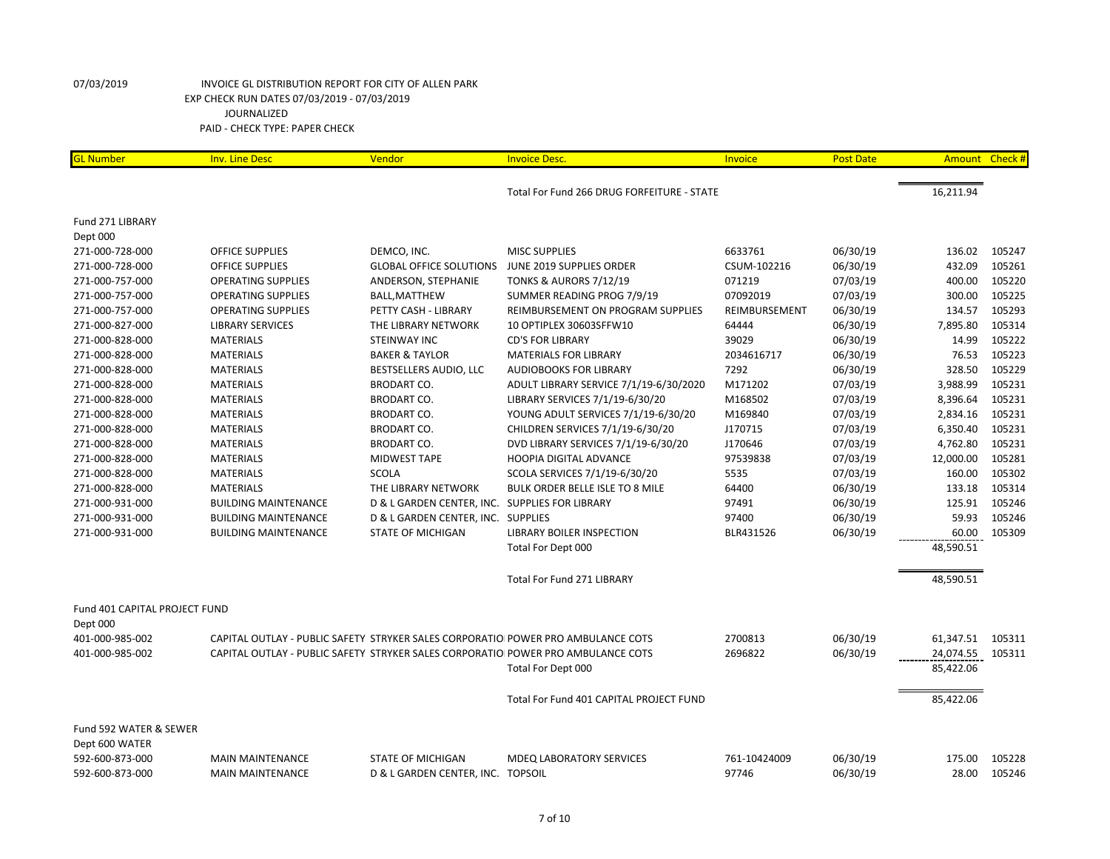| <b>GL Number</b>              | <b>Inv. Line Desc</b>                                                            | Vendor                                         | <b>Invoice Desc.</b>                       | <b>Invoice</b> | <b>Post Date</b> |           | Amount Check # |
|-------------------------------|----------------------------------------------------------------------------------|------------------------------------------------|--------------------------------------------|----------------|------------------|-----------|----------------|
|                               |                                                                                  |                                                | Total For Fund 266 DRUG FORFEITURE - STATE |                |                  | 16,211.94 |                |
|                               |                                                                                  |                                                |                                            |                |                  |           |                |
| Fund 271 LIBRARY              |                                                                                  |                                                |                                            |                |                  |           |                |
| Dept 000                      |                                                                                  |                                                |                                            |                |                  |           |                |
| 271-000-728-000               | <b>OFFICE SUPPLIES</b>                                                           | DEMCO, INC.                                    | <b>MISC SUPPLIES</b>                       | 6633761        | 06/30/19         | 136.02    | 105247         |
| 271-000-728-000               | <b>OFFICE SUPPLIES</b>                                                           | <b>GLOBAL OFFICE SOLUTIONS</b>                 | JUNE 2019 SUPPLIES ORDER                   | CSUM-102216    | 06/30/19         | 432.09    | 105261         |
| 271-000-757-000               | <b>OPERATING SUPPLIES</b>                                                        | ANDERSON, STEPHANIE                            | <b>TONKS &amp; AURORS 7/12/19</b>          | 071219         | 07/03/19         | 400.00    | 105220         |
| 271-000-757-000               | <b>OPERATING SUPPLIES</b>                                                        | <b>BALL, MATTHEW</b>                           | SUMMER READING PROG 7/9/19                 | 07092019       | 07/03/19         | 300.00    | 105225         |
| 271-000-757-000               | <b>OPERATING SUPPLIES</b>                                                        | PETTY CASH - LIBRARY                           | REIMBURSEMENT ON PROGRAM SUPPLIES          | REIMBURSEMENT  | 06/30/19         | 134.57    | 105293         |
| 271-000-827-000               | <b>LIBRARY SERVICES</b>                                                          | THE LIBRARY NETWORK                            | 10 OPTIPLEX 30603SFFW10                    | 64444          | 06/30/19         | 7,895.80  | 105314         |
| 271-000-828-000               | <b>MATERIALS</b>                                                                 | <b>STEINWAY INC</b>                            | <b>CD'S FOR LIBRARY</b>                    | 39029          | 06/30/19         | 14.99     | 105222         |
| 271-000-828-000               | <b>MATERIALS</b>                                                                 | <b>BAKER &amp; TAYLOR</b>                      | <b>MATERIALS FOR LIBRARY</b>               | 2034616717     | 06/30/19         | 76.53     | 105223         |
| 271-000-828-000               | <b>MATERIALS</b>                                                                 | BESTSELLERS AUDIO, LLC                         | <b>AUDIOBOOKS FOR LIBRARY</b>              | 7292           | 06/30/19         | 328.50    | 105229         |
| 271-000-828-000               | <b>MATERIALS</b>                                                                 | <b>BRODART CO.</b>                             | ADULT LIBRARY SERVICE 7/1/19-6/30/2020     | M171202        | 07/03/19         | 3,988.99  | 105231         |
| 271-000-828-000               | <b>MATERIALS</b>                                                                 | <b>BRODART CO.</b>                             | LIBRARY SERVICES 7/1/19-6/30/20            | M168502        | 07/03/19         | 8,396.64  | 105231         |
| 271-000-828-000               | <b>MATERIALS</b>                                                                 | <b>BRODART CO.</b>                             | YOUNG ADULT SERVICES 7/1/19-6/30/20        | M169840        | 07/03/19         | 2,834.16  | 105231         |
| 271-000-828-000               | <b>MATERIALS</b>                                                                 | <b>BRODART CO.</b>                             | CHILDREN SERVICES 7/1/19-6/30/20           | J170715        | 07/03/19         | 6,350.40  | 105231         |
| 271-000-828-000               | <b>MATERIALS</b>                                                                 | <b>BRODART CO.</b>                             | DVD LIBRARY SERVICES 7/1/19-6/30/20        | J170646        | 07/03/19         | 4,762.80  | 105231         |
| 271-000-828-000               | <b>MATERIALS</b>                                                                 | <b>MIDWEST TAPE</b>                            | <b>HOOPIA DIGITAL ADVANCE</b>              | 97539838       | 07/03/19         | 12,000.00 | 105281         |
| 271-000-828-000               | <b>MATERIALS</b>                                                                 | <b>SCOLA</b>                                   | SCOLA SERVICES 7/1/19-6/30/20              | 5535           | 07/03/19         | 160.00    | 105302         |
| 271-000-828-000               | <b>MATERIALS</b>                                                                 | THE LIBRARY NETWORK                            | BULK ORDER BELLE ISLE TO 8 MILE            | 64400          | 06/30/19         | 133.18    | 105314         |
| 271-000-931-000               | <b>BUILDING MAINTENANCE</b>                                                      | D & L GARDEN CENTER, INC. SUPPLIES FOR LIBRARY |                                            | 97491          | 06/30/19         | 125.91    | 105246         |
| 271-000-931-000               | <b>BUILDING MAINTENANCE</b>                                                      | D & L GARDEN CENTER, INC. SUPPLIES             |                                            | 97400          | 06/30/19         | 59.93     | 105246         |
| 271-000-931-000               | <b>BUILDING MAINTENANCE</b>                                                      | <b>STATE OF MICHIGAN</b>                       | LIBRARY BOILER INSPECTION                  | BLR431526      | 06/30/19         | 60.00     | 105309         |
|                               |                                                                                  |                                                | Total For Dept 000                         |                |                  | 48,590.51 |                |
|                               |                                                                                  |                                                | Total For Fund 271 LIBRARY                 |                |                  | 48,590.51 |                |
| Fund 401 CAPITAL PROJECT FUND |                                                                                  |                                                |                                            |                |                  |           |                |
| Dept 000                      |                                                                                  |                                                |                                            |                |                  |           |                |
| 401-000-985-002               | CAPITAL OUTLAY - PUBLIC SAFETY STRYKER SALES CORPORATIO POWER PRO AMBULANCE COTS |                                                |                                            | 2700813        | 06/30/19         | 61,347.51 | 105311         |
| 401-000-985-002               | CAPITAL OUTLAY - PUBLIC SAFETY STRYKER SALES CORPORATIO POWER PRO AMBULANCE COTS |                                                |                                            | 2696822        | 06/30/19         | 24,074.55 | 105311         |
|                               |                                                                                  |                                                | Total For Dept 000                         |                |                  | 85,422.06 |                |
|                               |                                                                                  |                                                | Total For Fund 401 CAPITAL PROJECT FUND    |                |                  | 85,422.06 |                |
| Fund 592 WATER & SEWER        |                                                                                  |                                                |                                            |                |                  |           |                |
| Dept 600 WATER                |                                                                                  |                                                |                                            |                |                  |           |                |
| 592-600-873-000               | <b>MAIN MAINTENANCE</b>                                                          | <b>STATE OF MICHIGAN</b>                       | <b>MDEQ LABORATORY SERVICES</b>            | 761-10424009   | 06/30/19         | 175.00    | 105228         |
| 592-600-873-000               | <b>MAIN MAINTENANCE</b>                                                          | D & L GARDEN CENTER, INC. TOPSOIL              |                                            | 97746          | 06/30/19         | 28.00     | 105246         |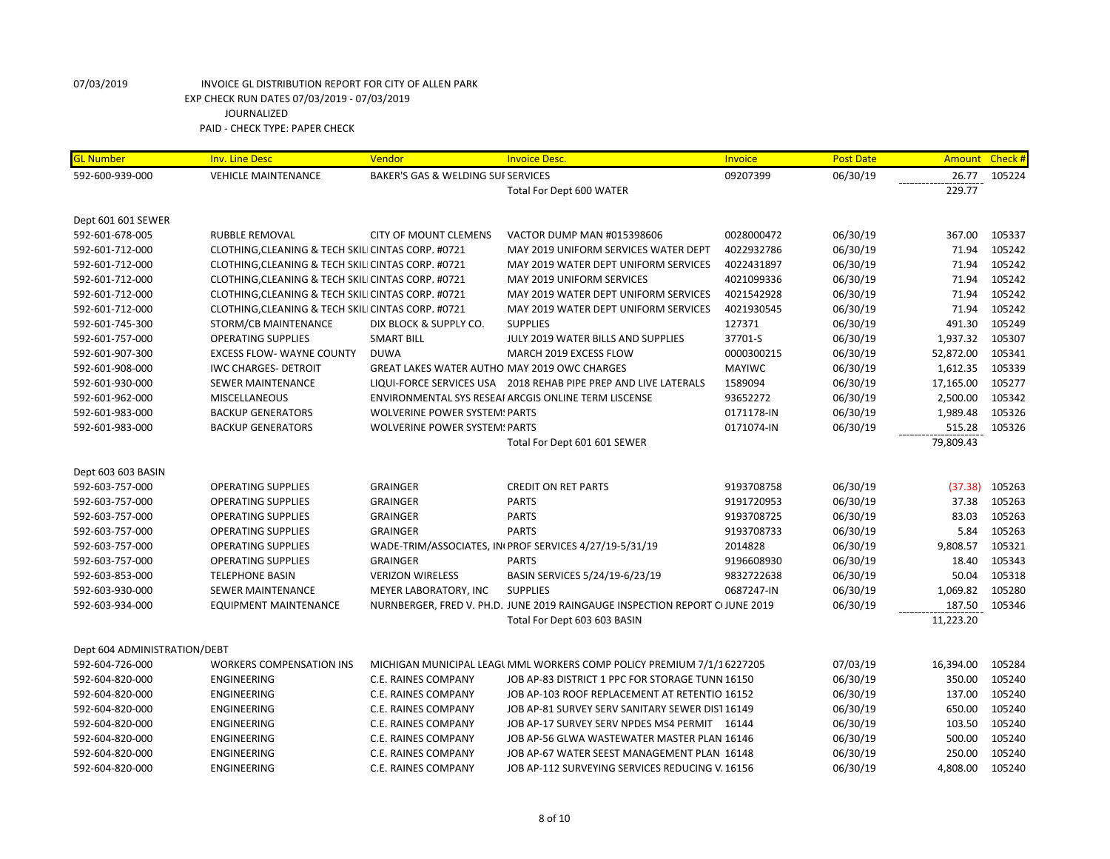| <b>GL Number</b>             | <b>Inv. Line Desc</b>                              | Vendor                                       | <b>Invoice Desc.</b>                                                        | Invoice       | <b>Post Date</b> | Amount Check # |        |
|------------------------------|----------------------------------------------------|----------------------------------------------|-----------------------------------------------------------------------------|---------------|------------------|----------------|--------|
| 592-600-939-000              | <b>VEHICLE MAINTENANCE</b>                         | BAKER'S GAS & WELDING SUI SERVICES           |                                                                             | 09207399      | 06/30/19         | 26.77          | 105224 |
|                              |                                                    |                                              | Total For Dept 600 WATER                                                    |               |                  | 229.77         |        |
| Dept 601 601 SEWER           |                                                    |                                              |                                                                             |               |                  |                |        |
| 592-601-678-005              | <b>RUBBLE REMOVAL</b>                              | <b>CITY OF MOUNT CLEMENS</b>                 | VACTOR DUMP MAN #015398606                                                  | 0028000472    | 06/30/19         | 367.00         | 105337 |
| 592-601-712-000              | CLOTHING, CLEANING & TECH SKILI CINTAS CORP. #0721 |                                              | MAY 2019 UNIFORM SERVICES WATER DEPT                                        | 4022932786    | 06/30/19         | 71.94          | 105242 |
| 592-601-712-000              | CLOTHING, CLEANING & TECH SKILI CINTAS CORP. #0721 |                                              | MAY 2019 WATER DEPT UNIFORM SERVICES                                        | 4022431897    | 06/30/19         | 71.94          | 105242 |
| 592-601-712-000              | CLOTHING, CLEANING & TECH SKILI CINTAS CORP. #0721 |                                              | MAY 2019 UNIFORM SERVICES                                                   | 4021099336    | 06/30/19         | 71.94          | 105242 |
| 592-601-712-000              | CLOTHING, CLEANING & TECH SKILI CINTAS CORP. #0721 |                                              | MAY 2019 WATER DEPT UNIFORM SERVICES                                        | 4021542928    | 06/30/19         | 71.94          | 105242 |
| 592-601-712-000              | CLOTHING, CLEANING & TECH SKILI CINTAS CORP. #0721 |                                              | MAY 2019 WATER DEPT UNIFORM SERVICES                                        | 4021930545    | 06/30/19         | 71.94          | 105242 |
| 592-601-745-300              | STORM/CB MAINTENANCE                               | DIX BLOCK & SUPPLY CO.                       | <b>SUPPLIES</b>                                                             | 127371        | 06/30/19         | 491.30         | 105249 |
| 592-601-757-000              | <b>OPERATING SUPPLIES</b>                          | <b>SMART BILL</b>                            | JULY 2019 WATER BILLS AND SUPPLIES                                          | 37701-S       | 06/30/19         | 1,937.32       | 105307 |
| 592-601-907-300              | <b>EXCESS FLOW- WAYNE COUNTY</b>                   | <b>DUWA</b>                                  | MARCH 2019 EXCESS FLOW                                                      | 0000300215    | 06/30/19         | 52,872.00      | 105341 |
| 592-601-908-000              | <b>IWC CHARGES- DETROIT</b>                        | GREAT LAKES WATER AUTHO MAY 2019 OWC CHARGES |                                                                             | <b>MAYIWC</b> | 06/30/19         | 1,612.35       | 105339 |
| 592-601-930-000              | SEWER MAINTENANCE                                  |                                              | LIQUI-FORCE SERVICES USA 2018 REHAB PIPE PREP AND LIVE LATERALS             | 1589094       | 06/30/19         | 17,165.00      | 105277 |
| 592-601-962-000              | <b>MISCELLANEOUS</b>                               |                                              | ENVIRONMENTAL SYS RESEAI ARCGIS ONLINE TERM LISCENSE                        | 93652272      | 06/30/19         | 2,500.00       | 105342 |
| 592-601-983-000              | <b>BACKUP GENERATORS</b>                           | <b>WOLVERINE POWER SYSTEM: PARTS</b>         |                                                                             | 0171178-IN    | 06/30/19         | 1,989.48       | 105326 |
| 592-601-983-000              | <b>BACKUP GENERATORS</b>                           | <b>WOLVERINE POWER SYSTEM: PARTS</b>         |                                                                             | 0171074-IN    | 06/30/19         | 515.28         | 105326 |
|                              |                                                    |                                              | Total For Dept 601 601 SEWER                                                |               |                  | 79,809.43      |        |
| Dept 603 603 BASIN           |                                                    |                                              |                                                                             |               |                  |                |        |
| 592-603-757-000              | <b>OPERATING SUPPLIES</b>                          | <b>GRAINGER</b>                              | <b>CREDIT ON RET PARTS</b>                                                  | 9193708758    | 06/30/19         | (37.38)        | 105263 |
| 592-603-757-000              | <b>OPERATING SUPPLIES</b>                          | <b>GRAINGER</b>                              | <b>PARTS</b>                                                                | 9191720953    | 06/30/19         | 37.38          | 105263 |
| 592-603-757-000              | <b>OPERATING SUPPLIES</b>                          | <b>GRAINGER</b>                              | <b>PARTS</b>                                                                | 9193708725    | 06/30/19         | 83.03          | 105263 |
| 592-603-757-000              | <b>OPERATING SUPPLIES</b>                          | <b>GRAINGER</b>                              | <b>PARTS</b>                                                                | 9193708733    | 06/30/19         | 5.84           | 105263 |
| 592-603-757-000              | <b>OPERATING SUPPLIES</b>                          |                                              | WADE-TRIM/ASSOCIATES, IN PROF SERVICES 4/27/19-5/31/19                      | 2014828       | 06/30/19         | 9,808.57       | 105321 |
| 592-603-757-000              | <b>OPERATING SUPPLIES</b>                          | <b>GRAINGER</b>                              | <b>PARTS</b>                                                                | 9196608930    | 06/30/19         | 18.40          | 105343 |
| 592-603-853-000              | <b>TELEPHONE BASIN</b>                             | <b>VERIZON WIRELESS</b>                      | BASIN SERVICES 5/24/19-6/23/19                                              | 9832722638    | 06/30/19         | 50.04          | 105318 |
| 592-603-930-000              | SEWER MAINTENANCE                                  | MEYER LABORATORY, INC                        | <b>SUPPLIES</b>                                                             | 0687247-IN    | 06/30/19         | 1,069.82       | 105280 |
| 592-603-934-000              | <b>EQUIPMENT MAINTENANCE</b>                       |                                              | NURNBERGER, FRED V. PH.D. JUNE 2019 RAINGAUGE INSPECTION REPORT CIJUNE 2019 |               | 06/30/19         | 187.50         | 105346 |
|                              |                                                    |                                              | Total For Dept 603 603 BASIN                                                |               |                  | 11,223.20      |        |
| Dept 604 ADMINISTRATION/DEBT |                                                    |                                              |                                                                             |               |                  |                |        |
| 592-604-726-000              | <b>WORKERS COMPENSATION INS</b>                    |                                              | MICHIGAN MUNICIPAL LEAGL MML WORKERS COMP POLICY PREMIUM 7/1/1 6227205      |               | 07/03/19         | 16,394.00      | 105284 |
| 592-604-820-000              | ENGINEERING                                        | <b>C.E. RAINES COMPANY</b>                   | JOB AP-83 DISTRICT 1 PPC FOR STORAGE TUNN 16150                             |               | 06/30/19         | 350.00         | 105240 |
| 592-604-820-000              | ENGINEERING                                        | C.E. RAINES COMPANY                          | JOB AP-103 ROOF REPLACEMENT AT RETENTIO 16152                               |               | 06/30/19         | 137.00         | 105240 |
| 592-604-820-000              | ENGINEERING                                        | C.E. RAINES COMPANY                          | JOB AP-81 SURVEY SERV SANITARY SEWER DIST 16149                             |               | 06/30/19         | 650.00         | 105240 |
| 592-604-820-000              | <b>ENGINEERING</b>                                 | <b>C.E. RAINES COMPANY</b>                   | JOB AP-17 SURVEY SERV NPDES MS4 PERMIT 16144                                |               | 06/30/19         | 103.50         | 105240 |
| 592-604-820-000              | ENGINEERING                                        | C.E. RAINES COMPANY                          | JOB AP-56 GLWA WASTEWATER MASTER PLAN 16146                                 |               | 06/30/19         | 500.00         | 105240 |
| 592-604-820-000              | ENGINEERING                                        | C.E. RAINES COMPANY                          | JOB AP-67 WATER SEEST MANAGEMENT PLAN 16148                                 |               | 06/30/19         | 250.00         | 105240 |
| 592-604-820-000              | <b>ENGINEERING</b>                                 | C.E. RAINES COMPANY                          | JOB AP-112 SURVEYING SERVICES REDUCING V. 16156                             |               | 06/30/19         | 4,808.00       | 105240 |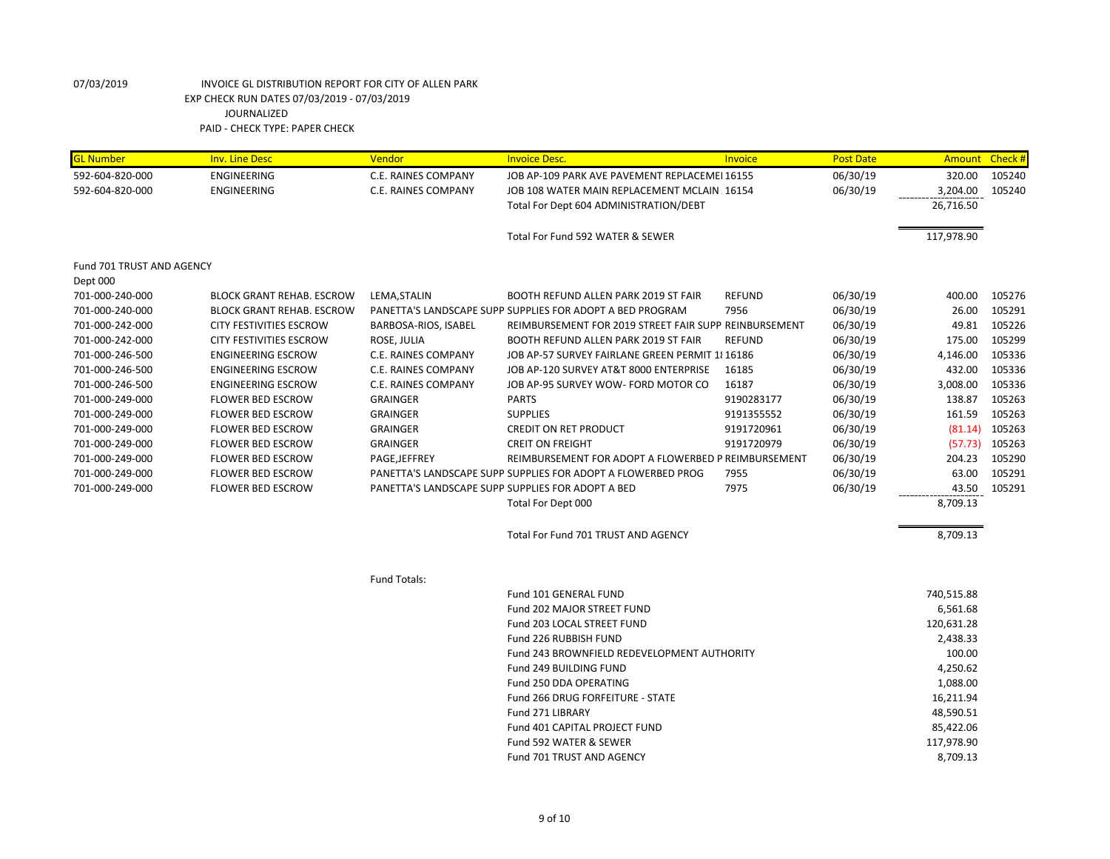| <b>GL Number</b>          | <b>Inv. Line Desc</b>            | Vendor               | <b>Invoice Desc.</b>                                         | Invoice       | <b>Post Date</b> | <b>Amount</b> | Check # |
|---------------------------|----------------------------------|----------------------|--------------------------------------------------------------|---------------|------------------|---------------|---------|
| 592-604-820-000           | ENGINEERING                      | C.E. RAINES COMPANY  | JOB AP-109 PARK AVE PAVEMENT REPLACEMEI 16155                |               | 06/30/19         | 320.00        | 105240  |
| 592-604-820-000           | <b>ENGINEERING</b>               | C.E. RAINES COMPANY  | JOB 108 WATER MAIN REPLACEMENT MCLAIN 16154                  |               | 06/30/19         | 3,204.00      | 105240  |
|                           |                                  |                      | Total For Dept 604 ADMINISTRATION/DEBT                       |               |                  | 26,716.50     |         |
|                           |                                  |                      | Total For Fund 592 WATER & SEWER                             |               |                  | 117,978.90    |         |
| Fund 701 TRUST AND AGENCY |                                  |                      |                                                              |               |                  |               |         |
| Dept 000                  |                                  |                      |                                                              |               |                  |               |         |
| 701-000-240-000           | <b>BLOCK GRANT REHAB. ESCROW</b> | LEMA, STALIN         | BOOTH REFUND ALLEN PARK 2019 ST FAIR                         | <b>REFUND</b> | 06/30/19         | 400.00        | 105276  |
| 701-000-240-000           | <b>BLOCK GRANT REHAB. ESCROW</b> |                      | PANETTA'S LANDSCAPE SUPP SUPPLIES FOR ADOPT A BED PROGRAM    | 7956          | 06/30/19         | 26.00         | 105291  |
| 701-000-242-000           | CITY FESTIVITIES ESCROW          | BARBOSA-RIOS, ISABEL | REIMBURSEMENT FOR 2019 STREET FAIR SUPP REINBURSEMENT        |               | 06/30/19         | 49.81         | 105226  |
| 701-000-242-000           | <b>CITY FESTIVITIES ESCROW</b>   | ROSE, JULIA          | <b>BOOTH REFUND ALLEN PARK 2019 ST FAIR</b>                  | <b>REFUND</b> | 06/30/19         | 175.00        | 105299  |
| 701-000-246-500           | <b>ENGINEERING ESCROW</b>        | C.E. RAINES COMPANY  | JOB AP-57 SURVEY FAIRLANE GREEN PERMIT 1816186               |               | 06/30/19         | 4,146.00      | 105336  |
| 701-000-246-500           | <b>ENGINEERING ESCROW</b>        | C.E. RAINES COMPANY  | JOB AP-120 SURVEY AT&T 8000 ENTERPRISE                       | 16185         | 06/30/19         | 432.00        | 105336  |
| 701-000-246-500           | <b>ENGINEERING ESCROW</b>        | C.E. RAINES COMPANY  | JOB AP-95 SURVEY WOW- FORD MOTOR CO                          | 16187         | 06/30/19         | 3,008.00      | 105336  |
| 701-000-249-000           | <b>FLOWER BED ESCROW</b>         | <b>GRAINGER</b>      | <b>PARTS</b>                                                 | 9190283177    | 06/30/19         | 138.87        | 105263  |
| 701-000-249-000           | <b>FLOWER BED ESCROW</b>         | <b>GRAINGER</b>      | <b>SUPPLIES</b>                                              | 9191355552    | 06/30/19         | 161.59        | 105263  |
| 701-000-249-000           | <b>FLOWER BED ESCROW</b>         | <b>GRAINGER</b>      | <b>CREDIT ON RET PRODUCT</b>                                 | 9191720961    | 06/30/19         | (81.14)       | 105263  |
| 701-000-249-000           | <b>FLOWER BED ESCROW</b>         | <b>GRAINGER</b>      | <b>CREIT ON FREIGHT</b>                                      | 9191720979    | 06/30/19         | (57.73)       | 105263  |
| 701-000-249-000           | <b>FLOWER BED ESCROW</b>         | PAGE, JEFFREY        | REIMBURSEMENT FOR ADOPT A FLOWERBED P REIMBURSEMENT          |               | 06/30/19         | 204.23        | 105290  |
| 701-000-249-000           | <b>FLOWER BED ESCROW</b>         |                      | PANETTA'S LANDSCAPE SUPP SUPPLIES FOR ADOPT A FLOWERBED PROG | 7955          | 06/30/19         | 63.00         | 105291  |
| 701-000-249-000           | <b>FLOWER BED ESCROW</b>         |                      | PANETTA'S LANDSCAPE SUPP SUPPLIES FOR ADOPT A BED            | 7975          | 06/30/19         | 43.50         | 105291  |
|                           |                                  |                      | Total For Dept 000                                           |               |                  | 8,709.13      |         |
|                           |                                  |                      | Total For Fund 701 TRUST AND AGENCY                          |               |                  | 8,709.13      |         |
|                           |                                  | <b>Fund Totals:</b>  |                                                              |               |                  |               |         |
|                           |                                  |                      | Fund 101 GENERAL FUND                                        |               |                  | 740,515.88    |         |
|                           |                                  |                      | <b>Fund 202 MAJOR STREET FUND</b>                            |               |                  | 6,561.68      |         |
|                           |                                  |                      | Fund 203 LOCAL STREET FUND                                   |               |                  | 120,631.28    |         |
|                           |                                  |                      | Fund 226 RUBBISH FUND                                        |               |                  | 2,438.33      |         |
|                           |                                  |                      | Fund 243 BROWNFIELD REDEVELOPMENT AUTHORITY                  |               |                  | 100.00        |         |
|                           |                                  |                      | Fund 249 BUILDING FUND                                       |               |                  | 4,250.62      |         |
|                           |                                  |                      | Fund 250 DDA OPERATING                                       |               |                  | 1,088.00      |         |
|                           |                                  |                      | Fund 266 DRUG FORFEITURE - STATE                             |               |                  | 16,211.94     |         |
|                           |                                  |                      | Fund 271 LIBRARY                                             |               |                  | 48,590.51     |         |
|                           |                                  |                      | Fund 401 CAPITAL PROJECT FUND                                |               |                  | 85,422.06     |         |
|                           |                                  |                      | Fund 592 WATER & SEWER                                       |               |                  | 117,978.90    |         |
|                           |                                  |                      | <b>Fund 701 TRUST AND AGENCY</b>                             |               |                  | 8,709.13      |         |